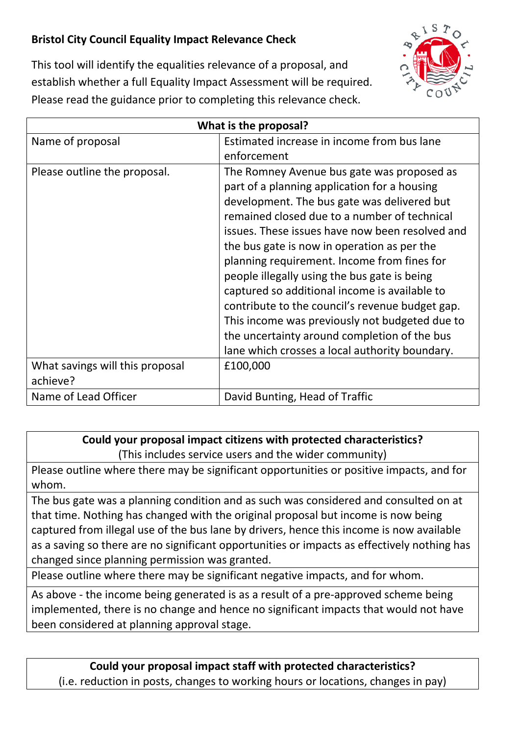## **Bristol City Council Equality Impact Relevance Check**



This tool will identify the equalities relevance of a proposal, and establish whether a full Equality Impact Assessment will be required. Please read the guidance prior to completing this relevance check.

| What is the proposal?                       |                                                                                                                                                                                                                                                                                                                                                                                                                                                                                                                                                                                                                                                    |
|---------------------------------------------|----------------------------------------------------------------------------------------------------------------------------------------------------------------------------------------------------------------------------------------------------------------------------------------------------------------------------------------------------------------------------------------------------------------------------------------------------------------------------------------------------------------------------------------------------------------------------------------------------------------------------------------------------|
| Name of proposal                            | Estimated increase in income from bus lane<br>enforcement                                                                                                                                                                                                                                                                                                                                                                                                                                                                                                                                                                                          |
| Please outline the proposal.                | The Romney Avenue bus gate was proposed as<br>part of a planning application for a housing<br>development. The bus gate was delivered but<br>remained closed due to a number of technical<br>issues. These issues have now been resolved and<br>the bus gate is now in operation as per the<br>planning requirement. Income from fines for<br>people illegally using the bus gate is being<br>captured so additional income is available to<br>contribute to the council's revenue budget gap.<br>This income was previously not budgeted due to<br>the uncertainty around completion of the bus<br>lane which crosses a local authority boundary. |
| What savings will this proposal<br>achieve? | £100,000                                                                                                                                                                                                                                                                                                                                                                                                                                                                                                                                                                                                                                           |
| Name of Lead Officer                        | David Bunting, Head of Traffic                                                                                                                                                                                                                                                                                                                                                                                                                                                                                                                                                                                                                     |

## **Could your proposal impact citizens with protected characteristics?**

(This includes service users and the wider community)

Please outline where there may be significant opportunities or positive impacts, and for whom.

The bus gate was a planning condition and as such was considered and consulted on at that time. Nothing has changed with the original proposal but income is now being captured from illegal use of the bus lane by drivers, hence this income is now available as a saving so there are no significant opportunities or impacts as effectively nothing has changed since planning permission was granted.

Please outline where there may be significant negative impacts, and for whom.

As above - the income being generated is as a result of a pre-approved scheme being implemented, there is no change and hence no significant impacts that would not have been considered at planning approval stage.

**Could your proposal impact staff with protected characteristics?** (i.e. reduction in posts, changes to working hours or locations, changes in pay)